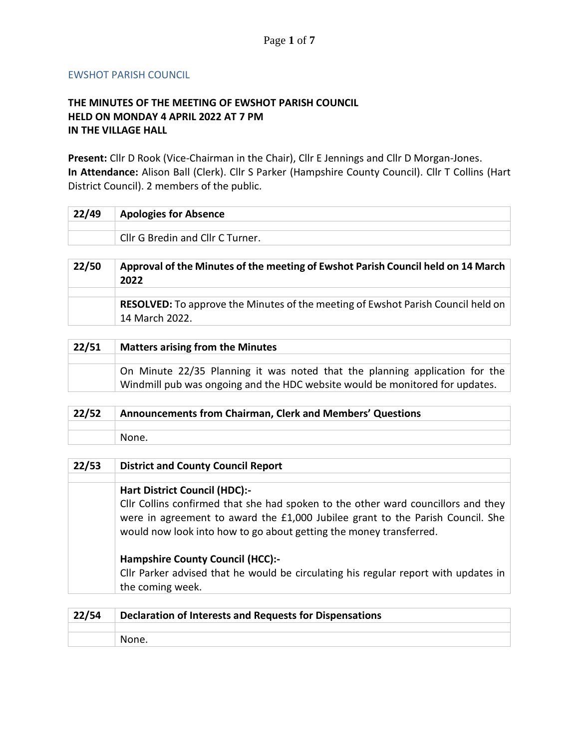## EWSHOT PARISH COUNCIL

## **THE MINUTES OF THE MEETING OF EWSHOT PARISH COUNCIL HELD ON MONDAY 4 APRIL 2022 AT 7 PM IN THE VILLAGE HALL**

**Present:** Cllr D Rook (Vice-Chairman in the Chair), Cllr E Jennings and Cllr D Morgan-Jones. **In Attendance:** Alison Ball (Clerk). Cllr S Parker (Hampshire County Council). Cllr T Collins (Hart District Council). 2 members of the public.

| 22/49 | Apologies for Absence            |
|-------|----------------------------------|
|       |                                  |
|       | Cllr G Bredin and Cllr C Turner. |

| 22/50 | Approval of the Minutes of the meeting of Ewshot Parish Council held on 14 March<br>2022                  |
|-------|-----------------------------------------------------------------------------------------------------------|
|       |                                                                                                           |
|       | <b>RESOLVED:</b> To approve the Minutes of the meeting of Ewshot Parish Council held on<br>14 March 2022. |

| 22/51 | <b>Matters arising from the Minutes</b>                                                                                                                     |
|-------|-------------------------------------------------------------------------------------------------------------------------------------------------------------|
|       |                                                                                                                                                             |
|       | On Minute 22/35 Planning it was noted that the planning application for the<br>Windmill pub was ongoing and the HDC website would be monitored for updates. |

| 22/52 | Announcements from Chairman, Clerk and Members' Questions |
|-------|-----------------------------------------------------------|
|       |                                                           |
|       | None.                                                     |

| 22/53 | <b>District and County Council Report</b>                                           |
|-------|-------------------------------------------------------------------------------------|
|       |                                                                                     |
|       | <b>Hart District Council (HDC):-</b>                                                |
|       | Cllr Collins confirmed that she had spoken to the other ward councillors and they   |
|       | were in agreement to award the £1,000 Jubilee grant to the Parish Council. She      |
|       | would now look into how to go about getting the money transferred.                  |
|       | <b>Hampshire County Council (HCC):-</b>                                             |
|       | Cllr Parker advised that he would be circulating his regular report with updates in |
|       | the coming week.                                                                    |
|       |                                                                                     |

| 22/54 | Declaration of Interests and Requests for Dispensations |
|-------|---------------------------------------------------------|
|       |                                                         |
|       | None.                                                   |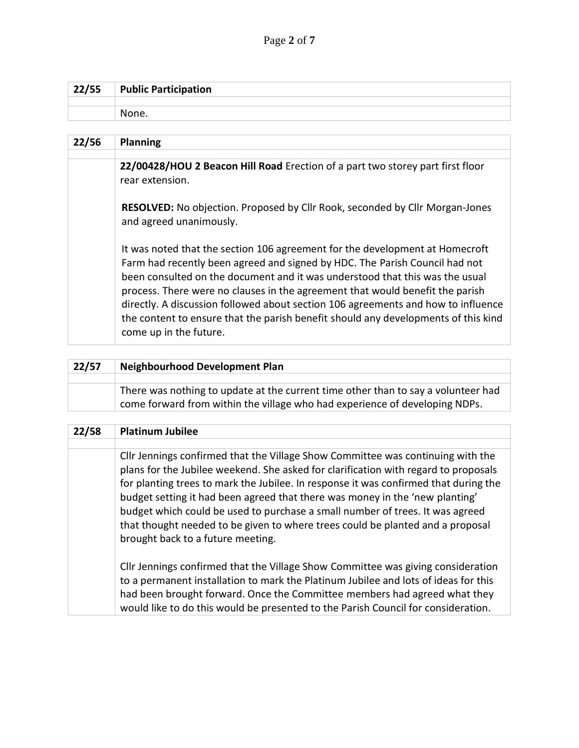| 22/55 | <b>Public Participation</b> |
|-------|-----------------------------|
|       |                             |
|       | None.                       |

| 22/56 | <b>Planning</b>                                                                                                                                                                                                                                                                                                                                                                                                                                                                                                                   |
|-------|-----------------------------------------------------------------------------------------------------------------------------------------------------------------------------------------------------------------------------------------------------------------------------------------------------------------------------------------------------------------------------------------------------------------------------------------------------------------------------------------------------------------------------------|
|       |                                                                                                                                                                                                                                                                                                                                                                                                                                                                                                                                   |
|       | 22/00428/HOU 2 Beacon Hill Road Erection of a part two storey part first floor<br>rear extension.                                                                                                                                                                                                                                                                                                                                                                                                                                 |
|       | RESOLVED: No objection. Proposed by Cllr Rook, seconded by Cllr Morgan-Jones<br>and agreed unanimously.                                                                                                                                                                                                                                                                                                                                                                                                                           |
|       | It was noted that the section 106 agreement for the development at Homecroft<br>Farm had recently been agreed and signed by HDC. The Parish Council had not<br>been consulted on the document and it was understood that this was the usual<br>process. There were no clauses in the agreement that would benefit the parish<br>directly. A discussion followed about section 106 agreements and how to influence<br>the content to ensure that the parish benefit should any developments of this kind<br>come up in the future. |

| 22/57 | <b>Neighbourhood Development Plan</b>                                                                                                                            |
|-------|------------------------------------------------------------------------------------------------------------------------------------------------------------------|
|       |                                                                                                                                                                  |
|       | There was nothing to update at the current time other than to say a volunteer had<br>come forward from within the village who had experience of developing NDPs. |

| 22/58 | <b>Platinum Jubilee</b>                                                                                                                                                                                                                                                                                                                                                                                                                                                                                                                                |
|-------|--------------------------------------------------------------------------------------------------------------------------------------------------------------------------------------------------------------------------------------------------------------------------------------------------------------------------------------------------------------------------------------------------------------------------------------------------------------------------------------------------------------------------------------------------------|
|       |                                                                                                                                                                                                                                                                                                                                                                                                                                                                                                                                                        |
|       | Cllr Jennings confirmed that the Village Show Committee was continuing with the<br>plans for the Jubilee weekend. She asked for clarification with regard to proposals<br>for planting trees to mark the Jubilee. In response it was confirmed that during the<br>budget setting it had been agreed that there was money in the 'new planting'<br>budget which could be used to purchase a small number of trees. It was agreed<br>that thought needed to be given to where trees could be planted and a proposal<br>brought back to a future meeting. |
|       | Cllr Jennings confirmed that the Village Show Committee was giving consideration<br>to a permanent installation to mark the Platinum Jubilee and lots of ideas for this<br>had been brought forward. Once the Committee members had agreed what they<br>would like to do this would be presented to the Parish Council for consideration.                                                                                                                                                                                                              |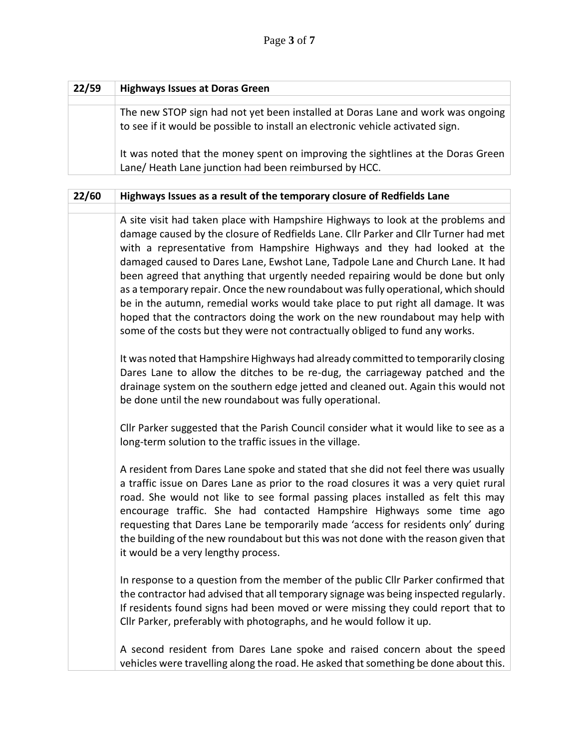| 22/59 | <b>Highways Issues at Doras Green</b>                                                                                                                              |
|-------|--------------------------------------------------------------------------------------------------------------------------------------------------------------------|
|       |                                                                                                                                                                    |
|       | The new STOP sign had not yet been installed at Doras Lane and work was ongoing<br>to see if it would be possible to install an electronic vehicle activated sign. |
|       | It was noted that the money spent on improving the sightlines at the Doras Green<br>Lane/ Heath Lane junction had been reimbursed by HCC.                          |

| 22/60 | Highways Issues as a result of the temporary closure of Redfields Lane                                                                                                                                                                                                                                                                                                                                                                                                                                                                                                                                                                                                                                                                                                |
|-------|-----------------------------------------------------------------------------------------------------------------------------------------------------------------------------------------------------------------------------------------------------------------------------------------------------------------------------------------------------------------------------------------------------------------------------------------------------------------------------------------------------------------------------------------------------------------------------------------------------------------------------------------------------------------------------------------------------------------------------------------------------------------------|
|       | A site visit had taken place with Hampshire Highways to look at the problems and<br>damage caused by the closure of Redfields Lane. Cllr Parker and Cllr Turner had met<br>with a representative from Hampshire Highways and they had looked at the<br>damaged caused to Dares Lane, Ewshot Lane, Tadpole Lane and Church Lane. It had<br>been agreed that anything that urgently needed repairing would be done but only<br>as a temporary repair. Once the new roundabout was fully operational, which should<br>be in the autumn, remedial works would take place to put right all damage. It was<br>hoped that the contractors doing the work on the new roundabout may help with<br>some of the costs but they were not contractually obliged to fund any works. |
|       | It was noted that Hampshire Highways had already committed to temporarily closing<br>Dares Lane to allow the ditches to be re-dug, the carriageway patched and the<br>drainage system on the southern edge jetted and cleaned out. Again this would not<br>be done until the new roundabout was fully operational.                                                                                                                                                                                                                                                                                                                                                                                                                                                    |
|       | Cllr Parker suggested that the Parish Council consider what it would like to see as a<br>long-term solution to the traffic issues in the village.                                                                                                                                                                                                                                                                                                                                                                                                                                                                                                                                                                                                                     |
|       | A resident from Dares Lane spoke and stated that she did not feel there was usually<br>a traffic issue on Dares Lane as prior to the road closures it was a very quiet rural<br>road. She would not like to see formal passing places installed as felt this may<br>encourage traffic. She had contacted Hampshire Highways some time ago<br>requesting that Dares Lane be temporarily made 'access for residents only' during<br>the building of the new roundabout but this was not done with the reason given that<br>it would be a very lengthy process.                                                                                                                                                                                                          |
|       | In response to a question from the member of the public Cllr Parker confirmed that<br>the contractor had advised that all temporary signage was being inspected regularly.<br>If residents found signs had been moved or were missing they could report that to<br>Cllr Parker, preferably with photographs, and he would follow it up.                                                                                                                                                                                                                                                                                                                                                                                                                               |
|       | A second resident from Dares Lane spoke and raised concern about the speed<br>vehicles were travelling along the road. He asked that something be done about this.                                                                                                                                                                                                                                                                                                                                                                                                                                                                                                                                                                                                    |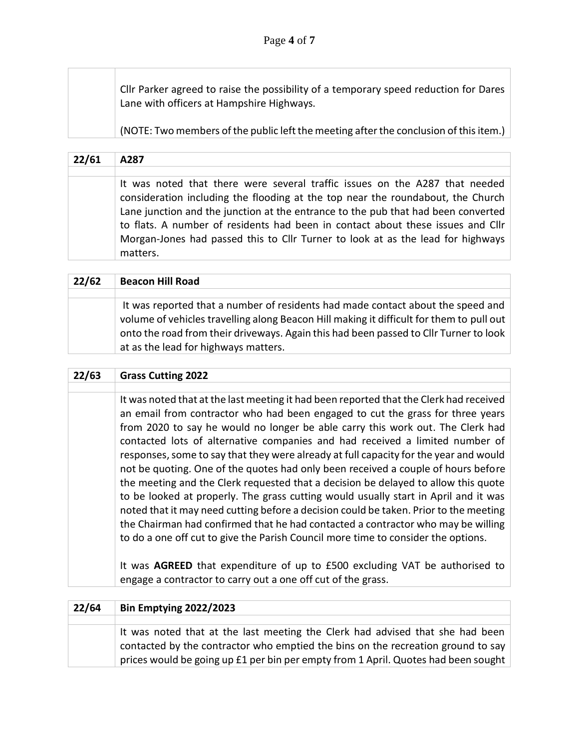Cllr Parker agreed to raise the possibility of a temporary speed reduction for Dares Lane with officers at Hampshire Highways.

(NOTE: Two members of the public left the meeting after the conclusion of this item.)

| 22/61 | A287                                                                                                                                                                                                                                                                                                                                                                                                                                  |
|-------|---------------------------------------------------------------------------------------------------------------------------------------------------------------------------------------------------------------------------------------------------------------------------------------------------------------------------------------------------------------------------------------------------------------------------------------|
|       |                                                                                                                                                                                                                                                                                                                                                                                                                                       |
|       | It was noted that there were several traffic issues on the A287 that needed<br>consideration including the flooding at the top near the roundabout, the Church<br>Lane junction and the junction at the entrance to the pub that had been converted<br>to flats. A number of residents had been in contact about these issues and Cllr<br>Morgan-Jones had passed this to Cllr Turner to look at as the lead for highways<br>matters. |

| 22/62 | <b>Beacon Hill Road</b>                                                                                                                                                                                                                                                                                      |
|-------|--------------------------------------------------------------------------------------------------------------------------------------------------------------------------------------------------------------------------------------------------------------------------------------------------------------|
|       |                                                                                                                                                                                                                                                                                                              |
|       | It was reported that a number of residents had made contact about the speed and<br>volume of vehicles travelling along Beacon Hill making it difficult for them to pull out<br>onto the road from their driveways. Again this had been passed to Cllr Turner to look<br>at as the lead for highways matters. |

## **22/63 Grass Cutting 2022**

It was noted that at the last meeting it had been reported that the Clerk had received an email from contractor who had been engaged to cut the grass for three years from 2020 to say he would no longer be able carry this work out. The Clerk had contacted lots of alternative companies and had received a limited number of responses, some to say that they were already at full capacity for the year and would not be quoting. One of the quotes had only been received a couple of hours before the meeting and the Clerk requested that a decision be delayed to allow this quote to be looked at properly. The grass cutting would usually start in April and it was noted that it may need cutting before a decision could be taken. Prior to the meeting the Chairman had confirmed that he had contacted a contractor who may be willing to do a one off cut to give the Parish Council more time to consider the options.

It was **AGREED** that expenditure of up to £500 excluding VAT be authorised to engage a contractor to carry out a one off cut of the grass.

| 22/64 | <b>Bin Emptying 2022/2023</b>                                                                                                                                                                                                                           |
|-------|---------------------------------------------------------------------------------------------------------------------------------------------------------------------------------------------------------------------------------------------------------|
|       |                                                                                                                                                                                                                                                         |
|       | It was noted that at the last meeting the Clerk had advised that she had been<br>contacted by the contractor who emptied the bins on the recreation ground to say<br>prices would be going up £1 per bin per empty from 1 April. Quotes had been sought |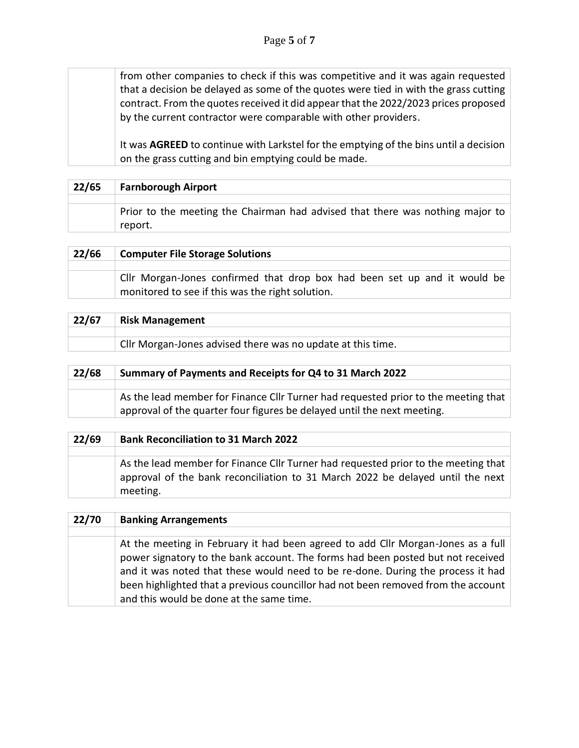from other companies to check if this was competitive and it was again requested that a decision be delayed as some of the quotes were tied in with the grass cutting contract. From the quotes received it did appear that the 2022/2023 prices proposed by the current contractor were comparable with other providers.

It was **AGREED** to continue with Larkstel for the emptying of the bins until a decision on the grass cutting and bin emptying could be made.

| 22/65 | <b>Farnborough Airport</b>                                                               |
|-------|------------------------------------------------------------------------------------------|
|       | Prior to the meeting the Chairman had advised that there was nothing major to<br>report. |

| 22/66 | <b>Computer File Storage Solutions</b>                                                                                        |
|-------|-------------------------------------------------------------------------------------------------------------------------------|
|       |                                                                                                                               |
|       | Cllr Morgan-Jones confirmed that drop box had been set up and it would be<br>monitored to see if this was the right solution. |

| 22/67 | <b>Risk Management</b>                                      |
|-------|-------------------------------------------------------------|
|       |                                                             |
|       | Cllr Morgan-Jones advised there was no update at this time. |
|       |                                                             |
| 22/68 | Summary of Payments and Receipts for Q4 to 31 March 2022    |

| As the lead member for Finance Cllr Turner had requested prior to the meeting that |
|------------------------------------------------------------------------------------|
| approval of the quarter four figures be delayed until the next meeting.            |

| 22/69 | <b>Bank Reconciliation to 31 March 2022</b>                                                                                                                                      |
|-------|----------------------------------------------------------------------------------------------------------------------------------------------------------------------------------|
|       |                                                                                                                                                                                  |
|       | As the lead member for Finance Cllr Turner had requested prior to the meeting that<br>approval of the bank reconciliation to 31 March 2022 be delayed until the next<br>meeting. |

| 22/70 | <b>Banking Arrangements</b>                                                                                                                                                                                                                                                                                                                                                             |
|-------|-----------------------------------------------------------------------------------------------------------------------------------------------------------------------------------------------------------------------------------------------------------------------------------------------------------------------------------------------------------------------------------------|
|       |                                                                                                                                                                                                                                                                                                                                                                                         |
|       | At the meeting in February it had been agreed to add Cllr Morgan-Jones as a full<br>power signatory to the bank account. The forms had been posted but not received<br>and it was noted that these would need to be re-done. During the process it had<br>been highlighted that a previous councillor had not been removed from the account<br>and this would be done at the same time. |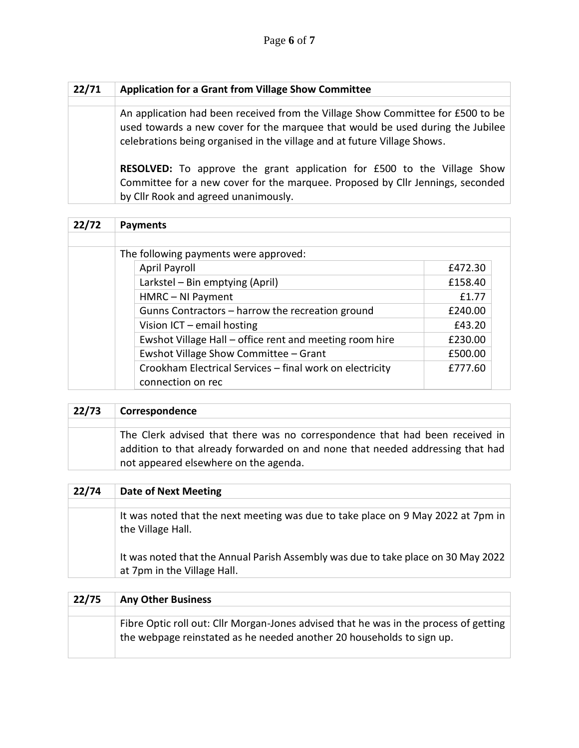| 22/71 | <b>Application for a Grant from Village Show Committee</b>                                                                                                                                                                                    |
|-------|-----------------------------------------------------------------------------------------------------------------------------------------------------------------------------------------------------------------------------------------------|
|       |                                                                                                                                                                                                                                               |
|       | An application had been received from the Village Show Committee for £500 to be<br>used towards a new cover for the marquee that would be used during the Jubilee<br>celebrations being organised in the village and at future Village Shows. |
|       | <b>RESOLVED:</b> To approve the grant application for £500 to the Village Show<br>Committee for a new cover for the marquee. Proposed by Cllr Jennings, seconded<br>by Cllr Rook and agreed unanimously.                                      |

| 22/72 | <b>Payments</b>                                          |         |
|-------|----------------------------------------------------------|---------|
|       |                                                          |         |
|       | The following payments were approved:                    |         |
|       | April Payroll                                            | £472.30 |
|       | Larkstel - Bin emptying (April)                          | £158.40 |
|       | HMRC - NI Payment                                        | £1.77   |
|       | Gunns Contractors - harrow the recreation ground         | £240.00 |
|       | Vision $ICT$ – email hosting                             | £43.20  |
|       | Ewshot Village Hall – office rent and meeting room hire  | £230.00 |
|       | Ewshot Village Show Committee - Grant                    | £500.00 |
|       | Crookham Electrical Services - final work on electricity | £777.60 |
|       | connection on rec                                        |         |

| 22/73 | Correspondence                                                                                                                                                                                          |
|-------|---------------------------------------------------------------------------------------------------------------------------------------------------------------------------------------------------------|
|       |                                                                                                                                                                                                         |
|       | The Clerk advised that there was no correspondence that had been received in<br>addition to that already forwarded on and none that needed addressing that had<br>not appeared elsewhere on the agenda. |

| 22/74 | <b>Date of Next Meeting</b>                                                                                      |
|-------|------------------------------------------------------------------------------------------------------------------|
|       |                                                                                                                  |
|       | It was noted that the next meeting was due to take place on 9 May 2022 at 7pm in<br>the Village Hall.            |
|       | It was noted that the Annual Parish Assembly was due to take place on 30 May 2022<br>at 7pm in the Village Hall. |

| 22/75 | <b>Any Other Business</b>                                                                                                                                      |
|-------|----------------------------------------------------------------------------------------------------------------------------------------------------------------|
|       |                                                                                                                                                                |
|       | Fibre Optic roll out: Cllr Morgan-Jones advised that he was in the process of getting<br>the webpage reinstated as he needed another 20 households to sign up. |